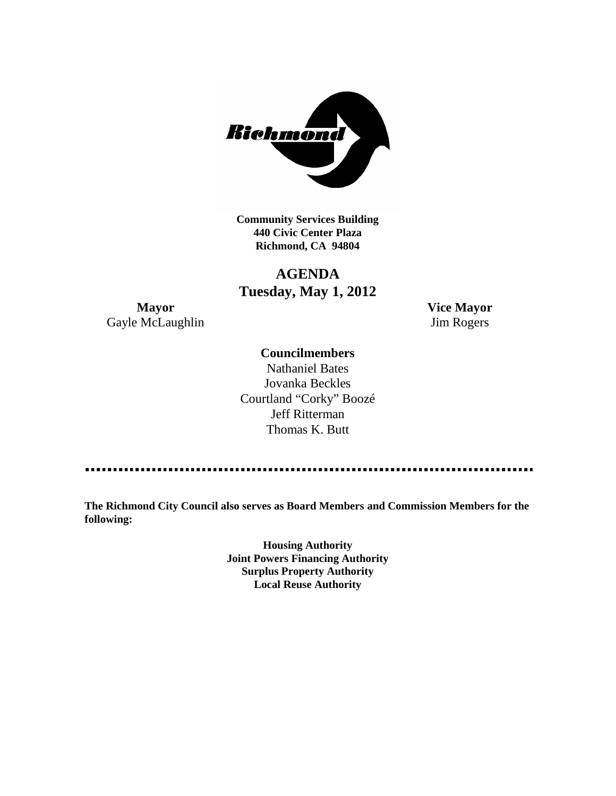

**Community Services Building 440 Civic Center Plaza Richmond, CA 94804**

# **AGENDA Tuesday, May 1, 2012**

**Mayor Vice Mayor** Gayle McLaughlin Jim Rogers

## **Councilmembers**

Nathaniel Bates Jovanka Beckles Courtland "Corky" Boozé Jeff Ritterman Thomas K. Butt

**The Richmond City Council also serves as Board Members and Commission Members for the following:**

> **Housing Authority Joint Powers Financing Authority Surplus Property Authority Local Reuse Authority**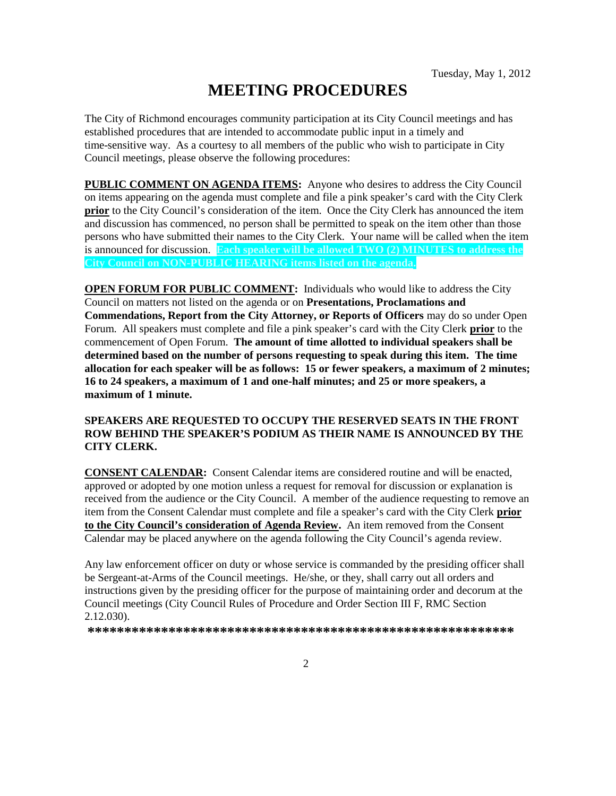# **MEETING PROCEDURES**

The City of Richmond encourages community participation at its City Council meetings and has established procedures that are intended to accommodate public input in a timely and time-sensitive way. As a courtesy to all members of the public who wish to participate in City Council meetings, please observe the following procedures:

**PUBLIC COMMENT ON AGENDA ITEMS:** Anyone who desires to address the City Council on items appearing on the agenda must complete and file a pink speaker's card with the City Clerk **prior** to the City Council's consideration of the item. Once the City Clerk has announced the item and discussion has commenced, no person shall be permitted to speak on the item other than those persons who have submitted their names to the City Clerk. Your name will be called when the item is announced for discussion. **Each speaker will be allowed TWO (2) MINUTES to address the City Council on NON-PUBLIC HEARING items listed on the agenda.**

**OPEN FORUM FOR PUBLIC COMMENT:** Individuals who would like to address the City Council on matters not listed on the agenda or on **Presentations, Proclamations and Commendations, Report from the City Attorney, or Reports of Officers** may do so under Open Forum. All speakers must complete and file a pink speaker's card with the City Clerk **prior** to the commencement of Open Forum. **The amount of time allotted to individual speakers shall be determined based on the number of persons requesting to speak during this item. The time allocation for each speaker will be as follows: 15 or fewer speakers, a maximum of 2 minutes; 16 to 24 speakers, a maximum of 1 and one-half minutes; and 25 or more speakers, a maximum of 1 minute.**

#### **SPEAKERS ARE REQUESTED TO OCCUPY THE RESERVED SEATS IN THE FRONT ROW BEHIND THE SPEAKER'S PODIUM AS THEIR NAME IS ANNOUNCED BY THE CITY CLERK.**

**CONSENT CALENDAR:** Consent Calendar items are considered routine and will be enacted, approved or adopted by one motion unless a request for removal for discussion or explanation is received from the audience or the City Council. A member of the audience requesting to remove an item from the Consent Calendar must complete and file a speaker's card with the City Clerk **prior to the City Council's consideration of Agenda Review.** An item removed from the Consent Calendar may be placed anywhere on the agenda following the City Council's agenda review.

Any law enforcement officer on duty or whose service is commanded by the presiding officer shall be Sergeant-at-Arms of the Council meetings. He/she, or they, shall carry out all orders and instructions given by the presiding officer for the purpose of maintaining order and decorum at the Council meetings (City Council Rules of Procedure and Order Section III F, RMC Section 2.12.030).

**\*\*\*\*\*\*\*\*\*\*\*\*\*\*\*\*\*\*\*\*\*\*\*\*\*\*\*\*\*\*\*\*\*\*\*\*\*\*\*\*\*\*\*\*\*\*\*\*\*\*\*\*\*\*\*\*\*\***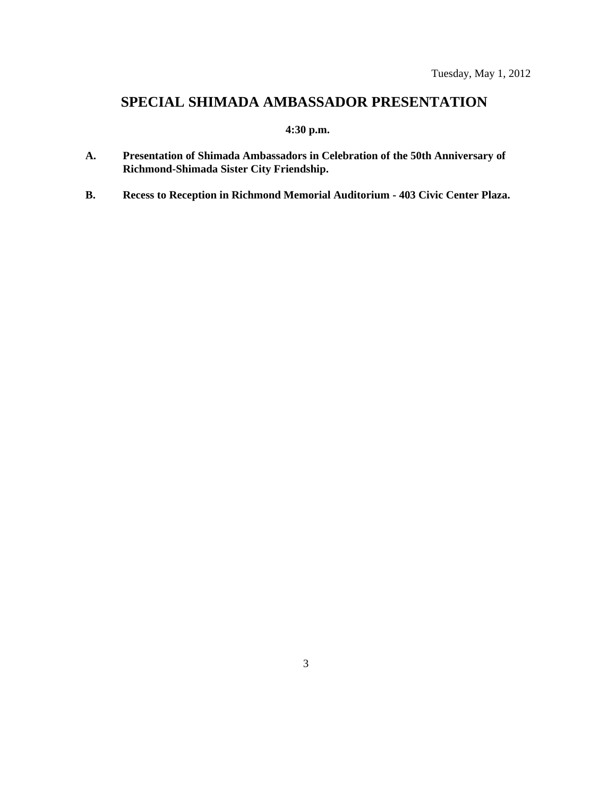# **SPECIAL SHIMADA AMBASSADOR PRESENTATION**

## **4:30 p.m.**

- **A. Presentation of Shimada Ambassadors in Celebration of the 50th Anniversary of Richmond-Shimada Sister City Friendship.**
- **B. Recess to Reception in Richmond Memorial Auditorium - 403 Civic Center Plaza.**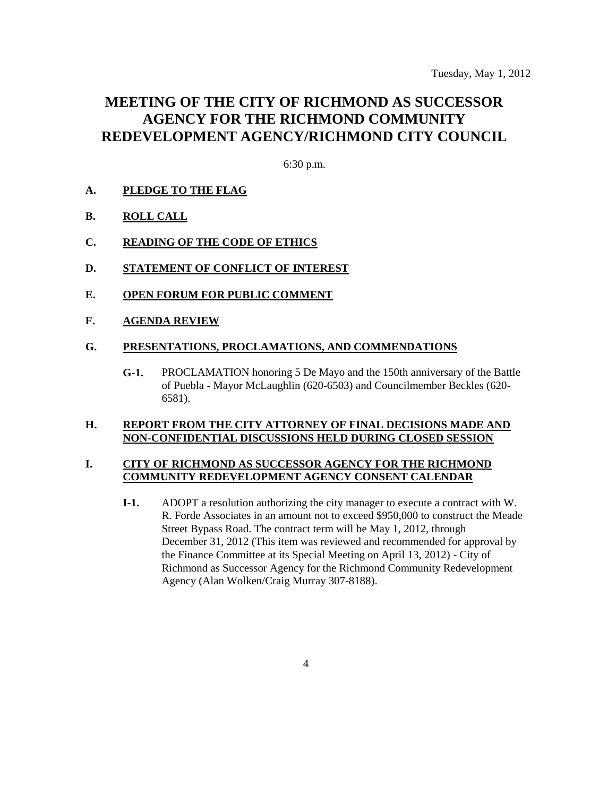# **MEETING OF THE CITY OF RICHMOND AS SUCCESSOR AGENCY FOR THE RICHMOND COMMUNITY REDEVELOPMENT AGENCY/RICHMOND CITY COUNCIL**

6:30 p.m.

### **A. PLEDGE TO THE FLAG**

- **B. ROLL CALL**
- **C. READING OF THE CODE OF ETHICS**
- **D. STATEMENT OF CONFLICT OF INTEREST**
- **E. OPEN FORUM FOR PUBLIC COMMENT**
- **F. AGENDA REVIEW**

#### **G. PRESENTATIONS, PROCLAMATIONS, AND COMMENDATIONS**

**G-1.** PROCLAMATION honoring 5 De Mayo and the 150th anniversary of the Battle of Puebla - Mayor McLaughlin (620-6503) and Councilmember Beckles (620- 6581).

#### **H. REPORT FROM THE CITY ATTORNEY OF FINAL DECISIONS MADE AND NON-CONFIDENTIAL DISCUSSIONS HELD DURING CLOSED SESSION**

#### **I. CITY OF RICHMOND AS SUCCESSOR AGENCY FOR THE RICHMOND COMMUNITY REDEVELOPMENT AGENCY CONSENT CALENDAR**

**I-1.** ADOPT a resolution authorizing the city manager to execute a contract with W. R. Forde Associates in an amount not to exceed \$950,000 to construct the Meade Street Bypass Road. The contract term will be May 1, 2012, through December 31, 2012 (This item was reviewed and recommended for approval by the Finance Committee at its Special Meeting on April 13, 2012) - City of Richmond as Successor Agency for the Richmond Community Redevelopment Agency (Alan Wolken/Craig Murray 307-8188).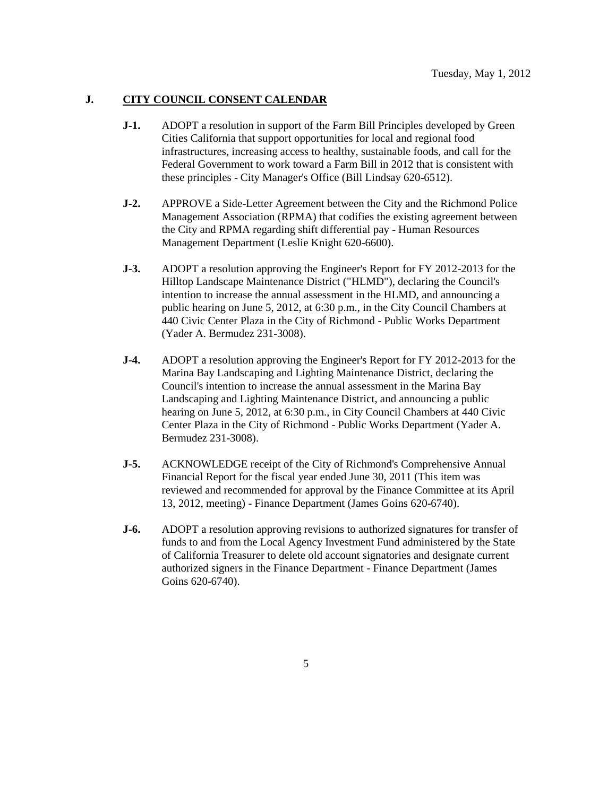#### **J. CITY COUNCIL CONSENT CALENDAR**

- **J-1.** ADOPT a resolution in support of the Farm Bill Principles developed by Green Cities California that support opportunities for local and regional food infrastructures, increasing access to healthy, sustainable foods, and call for the Federal Government to work toward a Farm Bill in 2012 that is consistent with these principles - City Manager's Office (Bill Lindsay 620-6512).
- **J-2.** APPROVE a Side-Letter Agreement between the City and the Richmond Police Management Association (RPMA) that codifies the existing agreement between the City and RPMA regarding shift differential pay - Human Resources Management Department (Leslie Knight 620-6600).
- **J-3.** ADOPT a resolution approving the Engineer's Report for FY 2012-2013 for the Hilltop Landscape Maintenance District ("HLMD"), declaring the Council's intention to increase the annual assessment in the HLMD, and announcing a public hearing on June 5, 2012, at 6:30 p.m., in the City Council Chambers at 440 Civic Center Plaza in the City of Richmond - Public Works Department (Yader A. Bermudez 231-3008).
- **J-4.** ADOPT a resolution approving the Engineer's Report for FY 2012-2013 for the Marina Bay Landscaping and Lighting Maintenance District, declaring the Council's intention to increase the annual assessment in the Marina Bay Landscaping and Lighting Maintenance District, and announcing a public hearing on June 5, 2012, at 6:30 p.m., in City Council Chambers at 440 Civic Center Plaza in the City of Richmond - Public Works Department (Yader A. Bermudez 231-3008).
- **J-5.** ACKNOWLEDGE receipt of the City of Richmond's Comprehensive Annual Financial Report for the fiscal year ended June 30, 2011 (This item was reviewed and recommended for approval by the Finance Committee at its April 13, 2012, meeting) - Finance Department (James Goins 620-6740).
- **J-6.** ADOPT a resolution approving revisions to authorized signatures for transfer of funds to and from the Local Agency Investment Fund administered by the State of California Treasurer to delete old account signatories and designate current authorized signers in the Finance Department - Finance Department (James Goins 620-6740).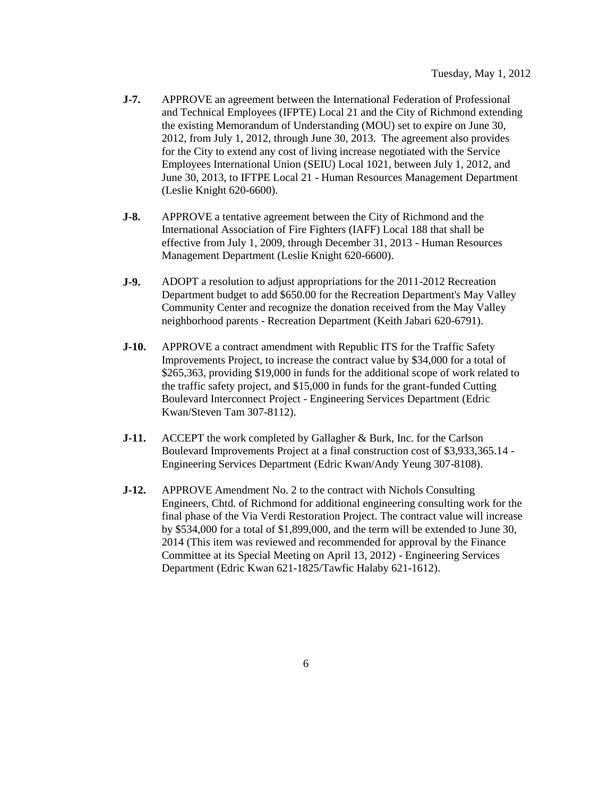- **J-7.** APPROVE an agreement between the International Federation of Professional and Technical Employees (IFPTE) Local 21 and the City of Richmond extending the existing Memorandum of Understanding (MOU) set to expire on June 30, 2012, from July 1, 2012, through June 30, 2013. The agreement also provides for the City to extend any cost of living increase negotiated with the Service Employees International Union (SEIU) Local 1021, between July 1, 2012, and June 30, 2013, to IFTPE Local 21 - Human Resources Management Department (Leslie Knight 620-6600).
- **J-8.** APPROVE a tentative agreement between the City of Richmond and the International Association of Fire Fighters (IAFF) Local 188 that shall be effective from July 1, 2009, through December 31, 2013 - Human Resources Management Department (Leslie Knight 620-6600).
- **J-9.** ADOPT a resolution to adjust appropriations for the 2011-2012 Recreation Department budget to add \$650.00 for the Recreation Department's May Valley Community Center and recognize the donation received from the May Valley neighborhood parents - Recreation Department (Keith Jabari 620-6791).
- **J-10.** APPROVE a contract amendment with Republic ITS for the Traffic Safety Improvements Project, to increase the contract value by \$34,000 for a total of \$265,363, providing \$19,000 in funds for the additional scope of work related to the traffic safety project, and \$15,000 in funds for the grant-funded Cutting Boulevard Interconnect Project - Engineering Services Department (Edric Kwan/Steven Tam 307-8112).
- **J-11.** ACCEPT the work completed by Gallagher & Burk, Inc. for the Carlson Boulevard Improvements Project at a final construction cost of \$3,933,365.14 - Engineering Services Department (Edric Kwan/Andy Yeung 307-8108).
- **J-12.** APPROVE Amendment No. 2 to the contract with Nichols Consulting Engineers, Chtd. of Richmond for additional engineering consulting work for the final phase of the Via Verdi Restoration Project. The contract value will increase by \$534,000 for a total of \$1,899,000, and the term will be extended to June 30, 2014 (This item was reviewed and recommended for approval by the Finance Committee at its Special Meeting on April 13, 2012) - Engineering Services Department (Edric Kwan 621-1825/Tawfic Halaby 621-1612).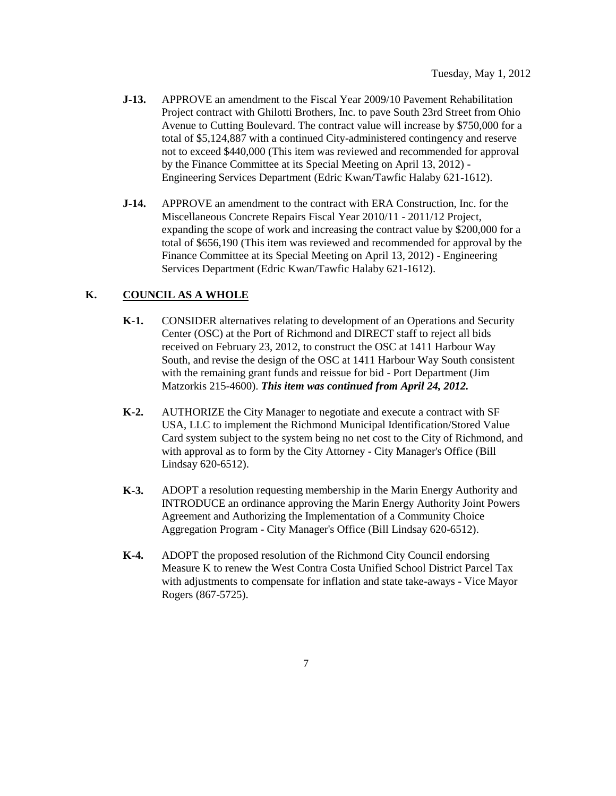- **J-13.** APPROVE an amendment to the Fiscal Year 2009/10 Pavement Rehabilitation Project contract with Ghilotti Brothers, Inc. to pave South 23rd Street from Ohio Avenue to Cutting Boulevard. The contract value will increase by \$750,000 for a total of \$5,124,887 with a continued City-administered contingency and reserve not to exceed \$440,000 (This item was reviewed and recommended for approval by the Finance Committee at its Special Meeting on April 13, 2012) - Engineering Services Department (Edric Kwan/Tawfic Halaby 621-1612).
- **J-14.** APPROVE an amendment to the contract with ERA Construction, Inc. for the Miscellaneous Concrete Repairs Fiscal Year 2010/11 - 2011/12 Project, expanding the scope of work and increasing the contract value by \$200,000 for a total of \$656,190 (This item was reviewed and recommended for approval by the Finance Committee at its Special Meeting on April 13, 2012) - Engineering Services Department (Edric Kwan/Tawfic Halaby 621-1612).

### **K. COUNCIL AS A WHOLE**

- **K-1.** CONSIDER alternatives relating to development of an Operations and Security Center (OSC) at the Port of Richmond and DIRECT staff to reject all bids received on February 23, 2012, to construct the OSC at 1411 Harbour Way South, and revise the design of the OSC at 1411 Harbour Way South consistent with the remaining grant funds and reissue for bid - Port Department (Jim Matzorkis 215-4600). *This item was continued from April 24, 2012.*
- **K-2.** AUTHORIZE the City Manager to negotiate and execute a contract with SF USA, LLC to implement the Richmond Municipal Identification/Stored Value Card system subject to the system being no net cost to the City of Richmond, and with approval as to form by the City Attorney - City Manager's Office (Bill Lindsay 620-6512).
- **K-3.** ADOPT a resolution requesting membership in the Marin Energy Authority and INTRODUCE an ordinance approving the Marin Energy Authority Joint Powers Agreement and Authorizing the Implementation of a Community Choice Aggregation Program - City Manager's Office (Bill Lindsay 620-6512).
- **K-4.** ADOPT the proposed resolution of the Richmond City Council endorsing Measure K to renew the West Contra Costa Unified School District Parcel Tax with adjustments to compensate for inflation and state take-aways - Vice Mayor Rogers (867-5725).